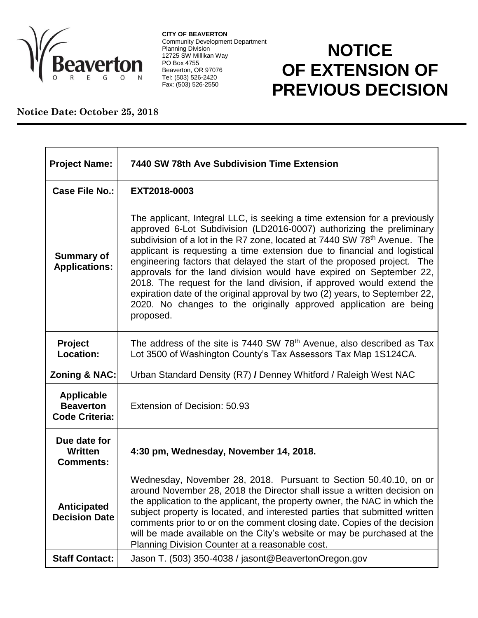

**CITY OF BEAVERTON** Community Development Department Planning Division 12725 SW Millikan Way PO Box 4755 Beaverton, OR 97076 Tel: (503) 526-2420 Fax: (503) 526-2550

## **NOTICE OF EXTENSION OF PREVIOUS DECISION**

## **Notice Date: October 25, 2018**

| <b>Project Name:</b>                                           | 7440 SW 78th Ave Subdivision Time Extension                                                                                                                                                                                                                                                                                                                                                                                                                                                                                                                                                                                                                                                                       |
|----------------------------------------------------------------|-------------------------------------------------------------------------------------------------------------------------------------------------------------------------------------------------------------------------------------------------------------------------------------------------------------------------------------------------------------------------------------------------------------------------------------------------------------------------------------------------------------------------------------------------------------------------------------------------------------------------------------------------------------------------------------------------------------------|
| <b>Case File No.:</b>                                          | EXT2018-0003                                                                                                                                                                                                                                                                                                                                                                                                                                                                                                                                                                                                                                                                                                      |
| <b>Summary of</b><br><b>Applications:</b>                      | The applicant, Integral LLC, is seeking a time extension for a previously<br>approved 6-Lot Subdivision (LD2016-0007) authorizing the preliminary<br>subdivision of a lot in the R7 zone, located at 7440 SW 78 <sup>th</sup> Avenue. The<br>applicant is requesting a time extension due to financial and logistical<br>engineering factors that delayed the start of the proposed project. The<br>approvals for the land division would have expired on September 22,<br>2018. The request for the land division, if approved would extend the<br>expiration date of the original approval by two (2) years, to September 22,<br>2020. No changes to the originally approved application are being<br>proposed. |
| Project<br>Location:                                           | The address of the site is 7440 SW $78th$ Avenue, also described as Tax<br>Lot 3500 of Washington County's Tax Assessors Tax Map 1S124CA.                                                                                                                                                                                                                                                                                                                                                                                                                                                                                                                                                                         |
| Zoning & NAC:                                                  | Urban Standard Density (R7) / Denney Whitford / Raleigh West NAC                                                                                                                                                                                                                                                                                                                                                                                                                                                                                                                                                                                                                                                  |
| <b>Applicable</b><br><b>Beaverton</b><br><b>Code Criteria:</b> | Extension of Decision: 50.93                                                                                                                                                                                                                                                                                                                                                                                                                                                                                                                                                                                                                                                                                      |
| Due date for<br>Written<br><b>Comments:</b>                    | 4:30 pm, Wednesday, November 14, 2018.                                                                                                                                                                                                                                                                                                                                                                                                                                                                                                                                                                                                                                                                            |
| <b>Anticipated</b><br><b>Decision Date</b>                     | Wednesday, November 28, 2018. Pursuant to Section 50.40.10, on or<br>around November 28, 2018 the Director shall issue a written decision on<br>the application to the applicant, the property owner, the NAC in which the<br>subject property is located, and interested parties that submitted written<br>comments prior to or on the comment closing date. Copies of the decision<br>will be made available on the City's website or may be purchased at the<br>Planning Division Counter at a reasonable cost.                                                                                                                                                                                                |
| <b>Staff Contact:</b>                                          | Jason T. (503) 350-4038 / jasont@BeavertonOregon.gov                                                                                                                                                                                                                                                                                                                                                                                                                                                                                                                                                                                                                                                              |